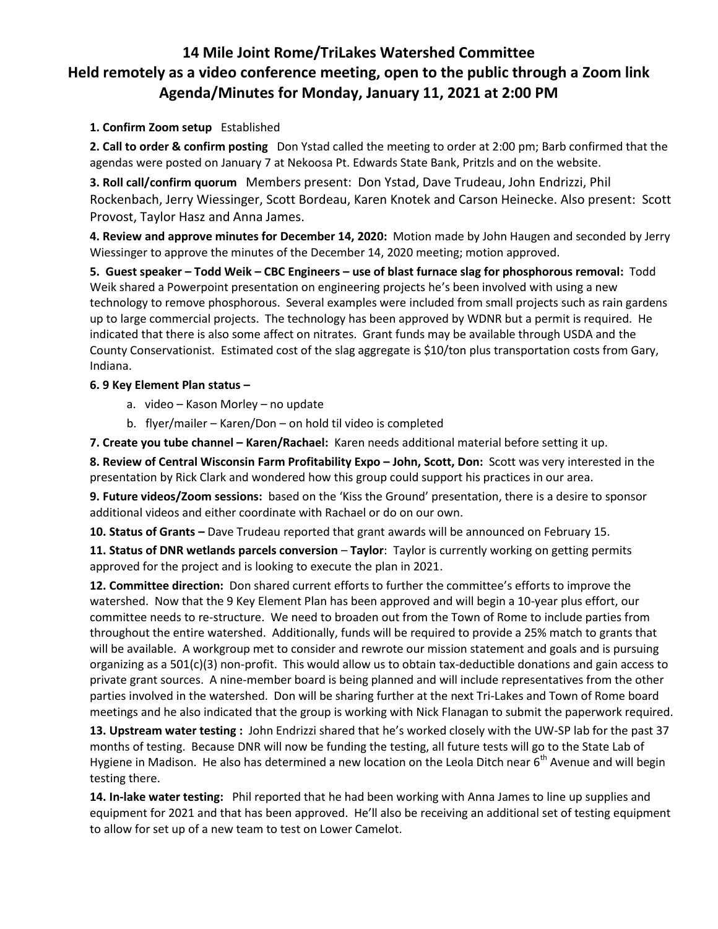## **14 Mile Joint Rome/TriLakes Watershed Committee Held remotely as a video conference meeting, open to the public through a Zoom link Agenda/Minutes for Monday, January 11, 2021 at 2:00 PM**

## **1. Confirm Zoom setup** Established

**2. Call to order & confirm posting** Don Ystad called the meeting to order at 2:00 pm; Barb confirmed that the agendas were posted on January 7 at Nekoosa Pt. Edwards State Bank, Pritzls and on the website.

**3. Roll call/confirm quorum** Members present: Don Ystad, Dave Trudeau, John Endrizzi, Phil Rockenbach, Jerry Wiessinger, Scott Bordeau, Karen Knotek and Carson Heinecke. Also present: Scott Provost, Taylor Hasz and Anna James.

**4. Review and approve minutes for December 14, 2020:** Motion made by John Haugen and seconded by Jerry Wiessinger to approve the minutes of the December 14, 2020 meeting; motion approved.

**5. Guest speaker – Todd Weik – CBC Engineers – use of blast furnace slag for phosphorous removal:** Todd Weik shared a Powerpoint presentation on engineering projects he's been involved with using a new technology to remove phosphorous. Several examples were included from small projects such as rain gardens up to large commercial projects. The technology has been approved by WDNR but a permit is required. He indicated that there is also some affect on nitrates. Grant funds may be available through USDA and the County Conservationist. Estimated cost of the slag aggregate is \$10/ton plus transportation costs from Gary, Indiana.

## **6. 9 Key Element Plan status –**

- a. video Kason Morley no update
- b. flyer/mailer Karen/Don on hold til video is completed

**7. Create you tube channel – Karen/Rachael:** Karen needs additional material before setting it up.

**8. Review of Central Wisconsin Farm Profitability Expo – John, Scott, Don:** Scott was very interested in the presentation by Rick Clark and wondered how this group could support his practices in our area.

**9. Future videos/Zoom sessions:** based on the 'Kiss the Ground' presentation, there is a desire to sponsor additional videos and either coordinate with Rachael or do on our own.

**10. Status of Grants –** Dave Trudeau reported that grant awards will be announced on February 15.

**11. Status of DNR wetlands parcels conversion – Taylor:** Taylor is currently working on getting permits approved for the project and is looking to execute the plan in 2021.

**12. Committee direction:** Don shared current efforts to further the committee's efforts to improve the watershed. Now that the 9 Key Element Plan has been approved and will begin a 10-year plus effort, our committee needs to re-structure. We need to broaden out from the Town of Rome to include parties from throughout the entire watershed. Additionally, funds will be required to provide a 25% match to grants that will be available. A workgroup met to consider and rewrote our mission statement and goals and is pursuing organizing as a 501(c)(3) non-profit. This would allow us to obtain tax-deductible donations and gain access to private grant sources. A nine-member board is being planned and will include representatives from the other parties involved in the watershed. Don will be sharing further at the next Tri-Lakes and Town of Rome board meetings and he also indicated that the group is working with Nick Flanagan to submit the paperwork required.

**13. Upstream water testing :** John Endrizzi shared that he's worked closely with the UW-SP lab for the past 37 months of testing. Because DNR will now be funding the testing, all future tests will go to the State Lab of Hygiene in Madison. He also has determined a new location on the Leola Ditch near 6<sup>th</sup> Avenue and will begin testing there.

**14. In-lake water testing:** Phil reported that he had been working with Anna James to line up supplies and equipment for 2021 and that has been approved. He'll also be receiving an additional set of testing equipment to allow for set up of a new team to test on Lower Camelot.